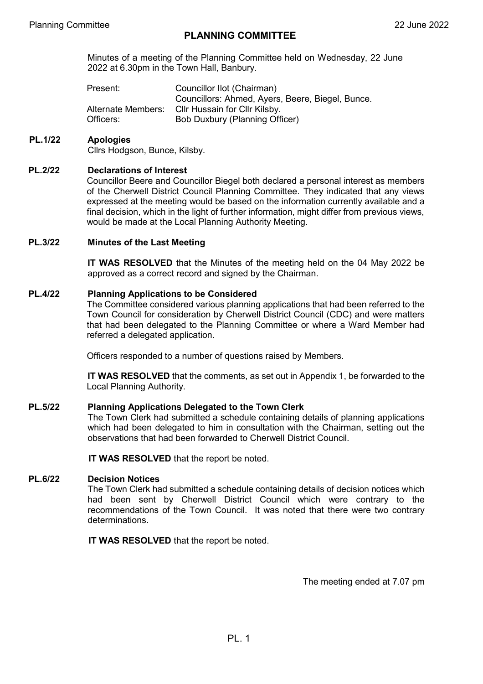Minutes of a meeting of the Planning Committee held on Wednesday, 22 June 2022 at 6.30pm in the Town Hall, Banbury.

Present: Councillor Ilot (Chairman) Councillors: Ahmed, Ayers, Beere, Biegel, Bunce. Alternate Members: Cllr Hussain for Cllr Kilsby. Officers: Bob Duxbury (Planning Officer)

# **PL.1/22 Apologies**

Cllrs Hodgson, Bunce, Kilsby.

### **PL.2/22 Declarations of Interest**

Councillor Beere and Councillor Biegel both declared a personal interest as members of the Cherwell District Council Planning Committee. They indicated that any views expressed at the meeting would be based on the information currently available and a final decision, which in the light of further information, might differ from previous views, would be made at the Local Planning Authority Meeting.

#### **PL.3/22 Minutes of the Last Meeting**

**IT WAS RESOLVED** that the Minutes of the meeting held on the 04 May 2022 be approved as a correct record and signed by the Chairman.

#### **PL.4/22 Planning Applications to be Considered**

The Committee considered various planning applications that had been referred to the Town Council for consideration by Cherwell District Council (CDC) and were matters that had been delegated to the Planning Committee or where a Ward Member had referred a delegated application.

Officers responded to a number of questions raised by Members.

**IT WAS RESOLVED** that the comments, as set out in Appendix 1, be forwarded to the Local Planning Authority.

### **PL.5/22 Planning Applications Delegated to the Town Clerk**

The Town Clerk had submitted a schedule containing details of planning applications which had been delegated to him in consultation with the Chairman, setting out the observations that had been forwarded to Cherwell District Council.

**IT WAS RESOLVED** that the report be noted.

## **PL.6/22 Decision Notices**

The Town Clerk had submitted a schedule containing details of decision notices which had been sent by Cherwell District Council which were contrary to the recommendations of the Town Council. It was noted that there were two contrary determinations.

**IT WAS RESOLVED** that the report be noted.

The meeting ended at 7.07 pm